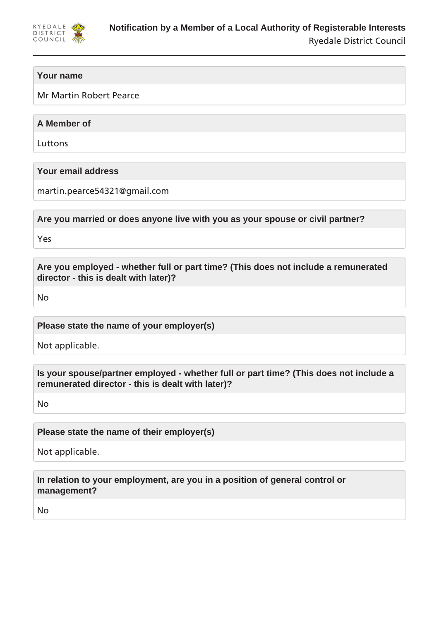

## **Your name**

Mr Martin Robert Pearce

**A Member of**

Luttons

**Your email address**

martin.pearce54321@gmail.com

**Are you married or does anyone live with you as your spouse or civil partner?**

Yes

**Are you employed - whether full or part time? (This does not include a remunerated director - this is dealt with later)?**

No

**Please state the name of your employer(s)**

Not applicable.

**Is your spouse/partner employed - whether full or part time? (This does not include a remunerated director - this is dealt with later)?**

No

**Please state the name of their employer(s)**

Not applicable.

**In relation to your employment, are you in a position of general control or management?**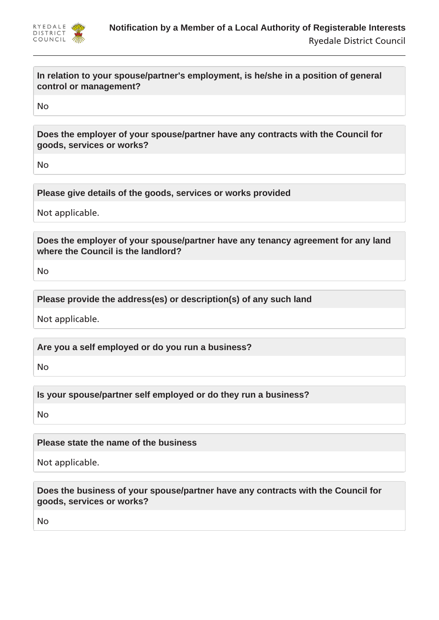

**In relation to your spouse/partner's employment, is he/she in a position of general control or management?**

No

**Does the employer of your spouse/partner have any contracts with the Council for goods, services or works?**

No

**Please give details of the goods, services or works provided**

Not applicable.

**Does the employer of your spouse/partner have any tenancy agreement for any land where the Council is the landlord?**

No

**Please provide the address(es) or description(s) of any such land**

Not applicable.

**Are you a self employed or do you run a business?**

No

**Is your spouse/partner self employed or do they run a business?**

No

**Please state the name of the business**

Not applicable.

**Does the business of your spouse/partner have any contracts with the Council for goods, services or works?**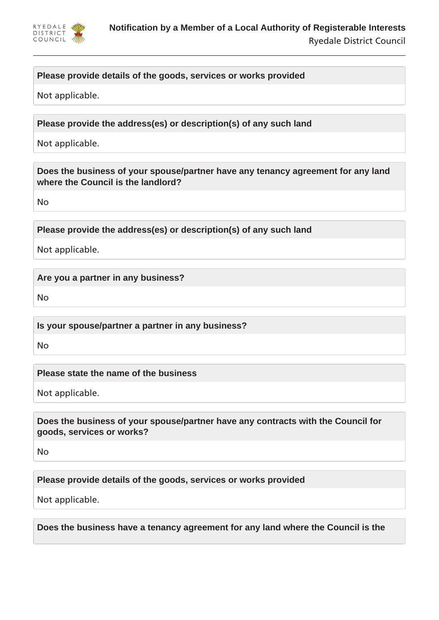

# **Please provide details of the goods, services or works provided**

Not applicable.

**Please provide the address(es) or description(s) of any such land**

Not applicable.

**Does the business of your spouse/partner have any tenancy agreement for any land where the Council is the landlord?**

No

**Please provide the address(es) or description(s) of any such land**

Not applicable.

**Are you a partner in any business?**

No

**Is your spouse/partner a partner in any business?**

No

**Please state the name of the business**

Not applicable.

**Does the business of your spouse/partner have any contracts with the Council for goods, services or works?**

No

**Please provide details of the goods, services or works provided**

Not applicable.

**Does the business have a tenancy agreement for any land where the Council is the**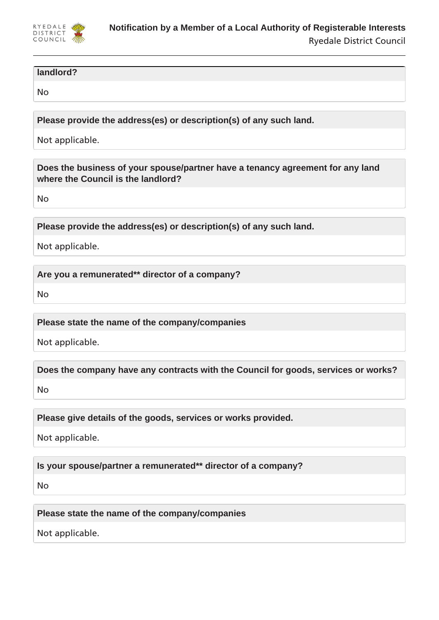

#### **landlord?**

No

**Please provide the address(es) or description(s) of any such land.**

Not applicable.

**Does the business of your spouse/partner have a tenancy agreement for any land where the Council is the landlord?**

No

**Please provide the address(es) or description(s) of any such land.**

Not applicable.

**Are you a remunerated\*\* director of a company?**

No

**Please state the name of the company/companies**

Not applicable.

**Does the company have any contracts with the Council for goods, services or works?**

No

**Please give details of the goods, services or works provided.**

Not applicable.

**Is your spouse/partner a remunerated\*\* director of a company?**

No

**Please state the name of the company/companies**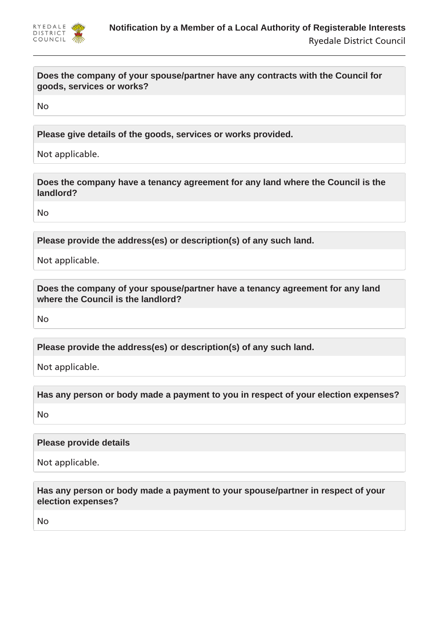

**Does the company of your spouse/partner have any contracts with the Council for goods, services or works?**

No

**Please give details of the goods, services or works provided.**

Not applicable.

**Does the company have a tenancy agreement for any land where the Council is the landlord?**

No

**Please provide the address(es) or description(s) of any such land.**

Not applicable.

**Does the company of your spouse/partner have a tenancy agreement for any land where the Council is the landlord?**

No

**Please provide the address(es) or description(s) of any such land.**

Not applicable.

**Has any person or body made a payment to you in respect of your election expenses?**

No

### **Please provide details**

Not applicable.

**Has any person or body made a payment to your spouse/partner in respect of your election expenses?**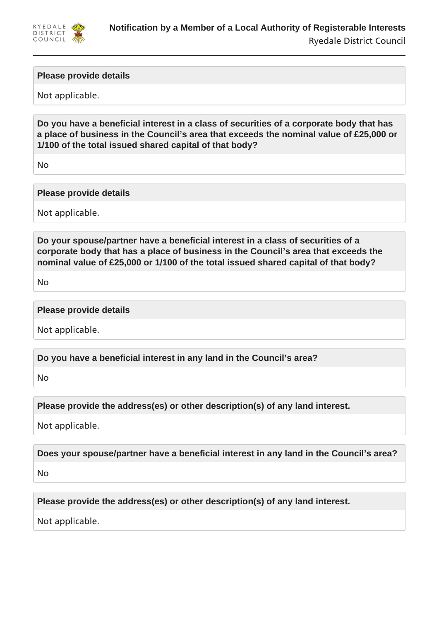

### **Please provide details**

Not applicable.

**Do you have a beneficial interest in a class of securities of a corporate body that has a place of business in the Council's area that exceeds the nominal value of £25,000 or 1/100 of the total issued shared capital of that body?**

No

#### **Please provide details**

Not applicable.

**Do your spouse/partner have a beneficial interest in a class of securities of a corporate body that has a place of business in the Council's area that exceeds the nominal value of £25,000 or 1/100 of the total issued shared capital of that body?**

No

#### **Please provide details**

Not applicable.

**Do you have a beneficial interest in any land in the Council's area?**

No

**Please provide the address(es) or other description(s) of any land interest.**

Not applicable.

**Does your spouse/partner have a beneficial interest in any land in the Council's area?**

No

**Please provide the address(es) or other description(s) of any land interest.**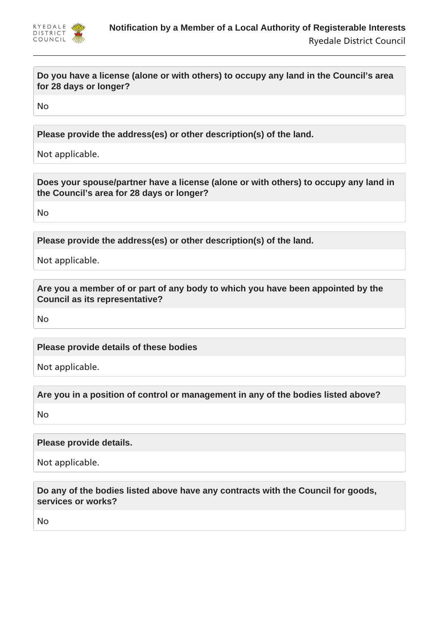

**Do you have a license (alone or with others) to occupy any land in the Council's area for 28 days or longer?**

No

**Please provide the address(es) or other description(s) of the land.**

Not applicable.

**Does your spouse/partner have a license (alone or with others) to occupy any land in the Council's area for 28 days or longer?**

No

**Please provide the address(es) or other description(s) of the land.**

Not applicable.

**Are you a member of or part of any body to which you have been appointed by the Council as its representative?**

No

**Please provide details of these bodies**

Not applicable.

**Are you in a position of control or management in any of the bodies listed above?**

No

**Please provide details.**

Not applicable.

**Do any of the bodies listed above have any contracts with the Council for goods, services or works?**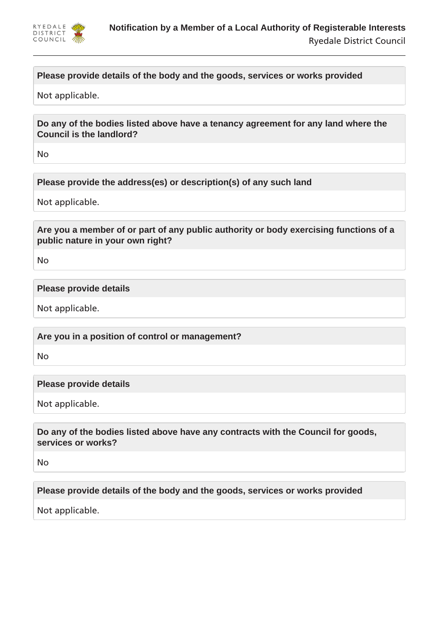

# **Please provide details of the body and the goods, services or works provided**

Not applicable.

**Do any of the bodies listed above have a tenancy agreement for any land where the Council is the landlord?**

No

**Please provide the address(es) or description(s) of any such land**

Not applicable.

**Are you a member of or part of any public authority or body exercising functions of a public nature in your own right?**

No

#### **Please provide details**

Not applicable.

**Are you in a position of control or management?**

No

#### **Please provide details**

Not applicable.

**Do any of the bodies listed above have any contracts with the Council for goods, services or works?**

No

**Please provide details of the body and the goods, services or works provided**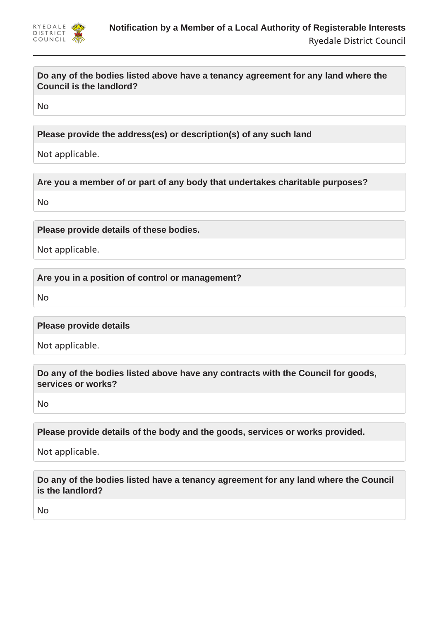

## **Do any of the bodies listed above have a tenancy agreement for any land where the Council is the landlord?**

No

**Please provide the address(es) or description(s) of any such land**

Not applicable.

**Are you a member of or part of any body that undertakes charitable purposes?**

No

**Please provide details of these bodies.**

Not applicable.

**Are you in a position of control or management?**

No

**Please provide details**

Not applicable.

**Do any of the bodies listed above have any contracts with the Council for goods, services or works?**

No

**Please provide details of the body and the goods, services or works provided.**

Not applicable.

**Do any of the bodies listed have a tenancy agreement for any land where the Council is the landlord?**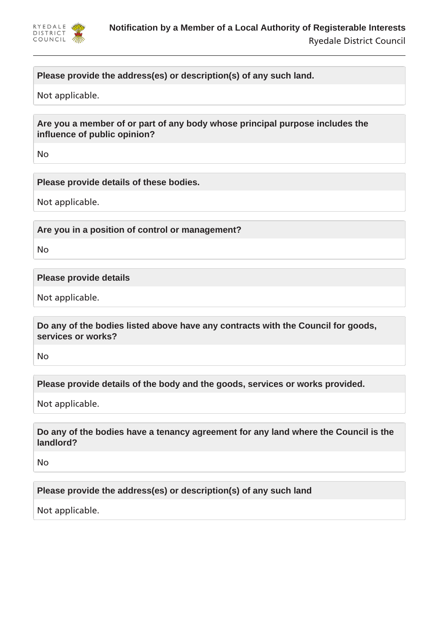

## **Please provide the address(es) or description(s) of any such land.**

Not applicable.

**Are you a member of or part of any body whose principal purpose includes the influence of public opinion?**

No

**Please provide details of these bodies.**

Not applicable.

**Are you in a position of control or management?**

No

**Please provide details**

Not applicable.

**Do any of the bodies listed above have any contracts with the Council for goods, services or works?**

No

**Please provide details of the body and the goods, services or works provided.**

Not applicable.

**Do any of the bodies have a tenancy agreement for any land where the Council is the landlord?**

No

**Please provide the address(es) or description(s) of any such land**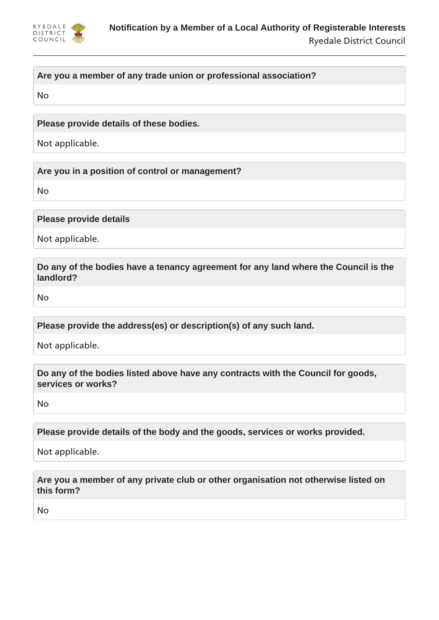

## **Are you a member of any trade union or professional association?**

No

### **Please provide details of these bodies.**

Not applicable.

**Are you in a position of control or management?**

No

**Please provide details**

Not applicable.

**Do any of the bodies have a tenancy agreement for any land where the Council is the landlord?**

No

**Please provide the address(es) or description(s) of any such land.**

Not applicable.

**Do any of the bodies listed above have any contracts with the Council for goods, services or works?**

No

**Please provide details of the body and the goods, services or works provided.**

Not applicable.

**Are you a member of any private club or other organisation not otherwise listed on this form?**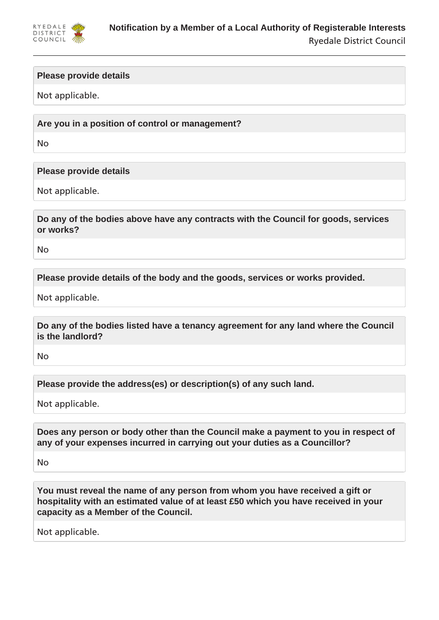

### **Please provide details**

Not applicable.

**Are you in a position of control or management?**

No

### **Please provide details**

Not applicable.

**Do any of the bodies above have any contracts with the Council for goods, services or works?**

No

**Please provide details of the body and the goods, services or works provided.**

Not applicable.

**Do any of the bodies listed have a tenancy agreement for any land where the Council is the landlord?**

No

**Please provide the address(es) or description(s) of any such land.**

Not applicable.

**Does any person or body other than the Council make a payment to you in respect of any of your expenses incurred in carrying out your duties as a Councillor?**

No

**You must reveal the name of any person from whom you have received a gift or hospitality with an estimated value of at least £50 which you have received in your capacity as a Member of the Council.**